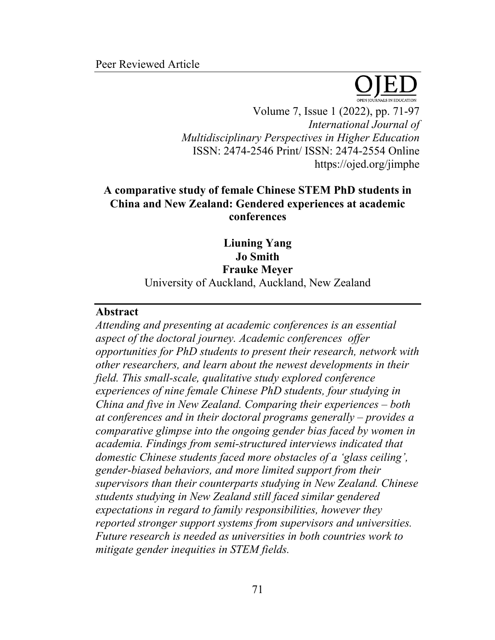

Volume 7, Issue 1 (2022), pp. 71-97 *International Journal of Multidisciplinary Perspectives in Higher Education* ISSN: 2474-2546 Print/ ISSN: 2474-2554 Online https://ojed.org/jimphe

# **A comparative study of female Chinese STEM PhD students in China and New Zealand: Gendered experiences at academic conferences**

**Liuning Yang Jo Smith Frauke Meyer** University of Auckland, Auckland, New Zealand

## **Abstract**

*Attending and presenting at academic conferences is an essential aspect of the doctoral journey. Academic conferences offer opportunities for PhD students to present their research, network with other researchers, and learn about the newest developments in their field. This small-scale, qualitative study explored conference experiences of nine female Chinese PhD students, four studying in China and five in New Zealand. Comparing their experiences – both at conferences and in their doctoral programs generally – provides a comparative glimpse into the ongoing gender bias faced by women in academia. Findings from semi-structured interviews indicated that domestic Chinese students faced more obstacles of a 'glass ceiling', gender-biased behaviors, and more limited support from their supervisors than their counterparts studying in New Zealand. Chinese students studying in New Zealand still faced similar gendered expectations in regard to family responsibilities, however they reported stronger support systems from supervisors and universities. Future research is needed as universities in both countries work to mitigate gender inequities in STEM fields.*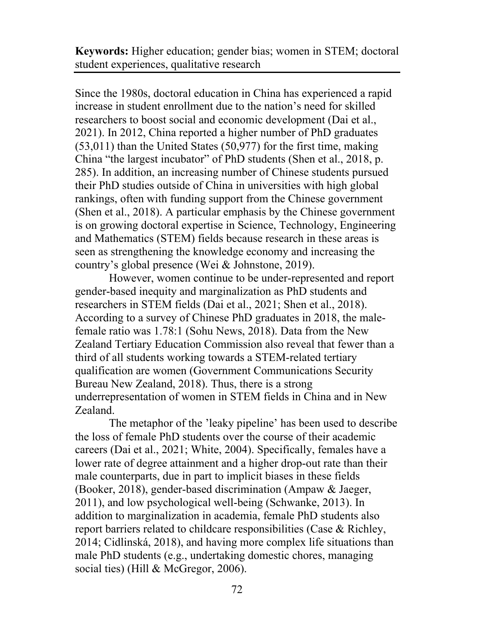**Keywords:** Higher education; gender bias; women in STEM; doctoral student experiences, qualitative research

Since the 1980s, doctoral education in China has experienced a rapid increase in student enrollment due to the nation's need for skilled researchers to boost social and economic development (Dai et al., 2021). In 2012, China reported a higher number of PhD graduates (53,011) than the United States (50,977) for the first time, making China "the largest incubator" of PhD students (Shen et al., 2018, p. 285). In addition, an increasing number of Chinese students pursued their PhD studies outside of China in universities with high global rankings, often with funding support from the Chinese government (Shen et al., 2018). A particular emphasis by the Chinese government is on growing doctoral expertise in Science, Technology, Engineering and Mathematics (STEM) fields because research in these areas is seen as strengthening the knowledge economy and increasing the country's global presence (Wei & Johnstone, 2019).

However, women continue to be under-represented and report gender-based inequity and marginalization as PhD students and researchers in STEM fields (Dai et al., 2021; Shen et al., 2018). According to a survey of Chinese PhD graduates in 2018, the malefemale ratio was 1.78:1 (Sohu News, 2018). Data from the New Zealand Tertiary Education Commission also reveal that fewer than a third of all students working towards a STEM-related tertiary qualification are women (Government Communications Security Bureau New Zealand, 2018). Thus, there is a strong underrepresentation of women in STEM fields in China and in New Zealand.

The metaphor of the 'leaky pipeline' has been used to describe the loss of female PhD students over the course of their academic careers (Dai et al., 2021; White, 2004). Specifically, females have a lower rate of degree attainment and a higher drop-out rate than their male counterparts, due in part to implicit biases in these fields (Booker, 2018), gender-based discrimination (Ampaw & Jaeger, 2011), and low psychological well-being (Schwanke, 2013). In addition to marginalization in academia, female PhD students also report barriers related to childcare responsibilities (Case & Richley, 2014; Cidlinská, 2018), and having more complex life situations than male PhD students (e.g., undertaking domestic chores, managing social ties) (Hill & McGregor, 2006).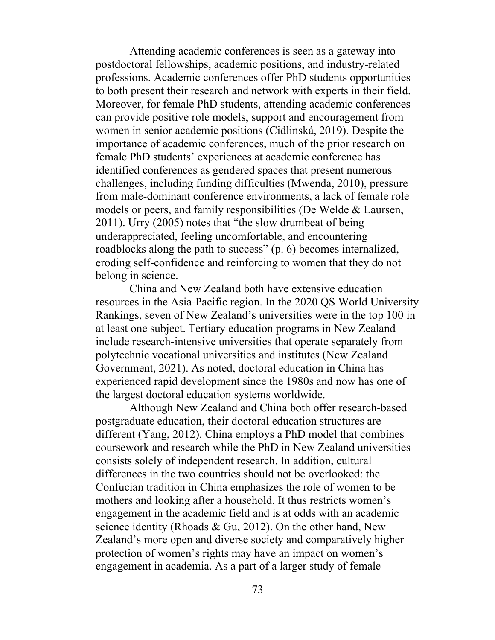Attending academic conferences is seen as a gateway into postdoctoral fellowships, academic positions, and industry-related professions. Academic conferences offer PhD students opportunities to both present their research and network with experts in their field. Moreover, for female PhD students, attending academic conferences can provide positive role models, support and encouragement from women in senior academic positions (Cidlinská, 2019). Despite the importance of academic conferences, much of the prior research on female PhD students' experiences at academic conference has identified conferences as gendered spaces that present numerous challenges, including funding difficulties (Mwenda, 2010), pressure from male-dominant conference environments, a lack of female role models or peers, and family responsibilities (De Welde & Laursen, 2011). Urry (2005) notes that "the slow drumbeat of being underappreciated, feeling uncomfortable, and encountering roadblocks along the path to success" (p. 6) becomes internalized, eroding self-confidence and reinforcing to women that they do not belong in science.

China and New Zealand both have extensive education resources in the Asia-Pacific region. In the 2020 QS World University Rankings, seven of New Zealand's universities were in the top 100 in at least one subject. Tertiary education programs in New Zealand include research-intensive universities that operate separately from polytechnic vocational universities and institutes (New Zealand Government, 2021). As noted, doctoral education in China has experienced rapid development since the 1980s and now has one of the largest doctoral education systems worldwide.

Although New Zealand and China both offer research-based postgraduate education, their doctoral education structures are different (Yang, 2012). China employs a PhD model that combines coursework and research while the PhD in New Zealand universities consists solely of independent research. In addition, cultural differences in the two countries should not be overlooked: the Confucian tradition in China emphasizes the role of women to be mothers and looking after a household. It thus restricts women's engagement in the academic field and is at odds with an academic science identity (Rhoads & Gu, 2012). On the other hand, New Zealand's more open and diverse society and comparatively higher protection of women's rights may have an impact on women's engagement in academia. As a part of a larger study of female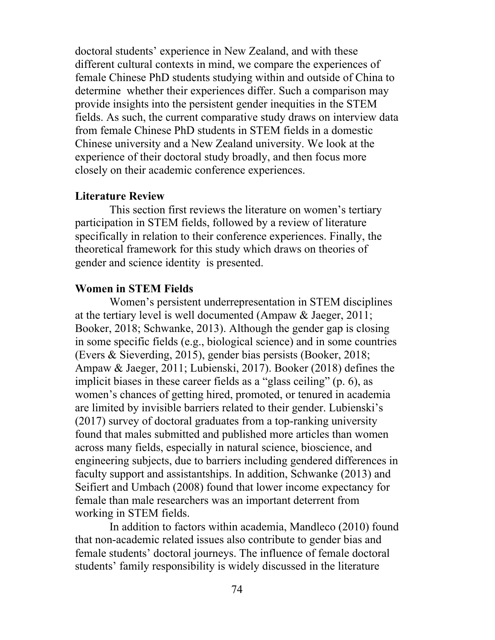doctoral students' experience in New Zealand, and with these different cultural contexts in mind, we compare the experiences of female Chinese PhD students studying within and outside of China to determine whether their experiences differ. Such a comparison may provide insights into the persistent gender inequities in the STEM fields. As such, the current comparative study draws on interview data from female Chinese PhD students in STEM fields in a domestic Chinese university and a New Zealand university. We look at the experience of their doctoral study broadly, and then focus more closely on their academic conference experiences.

## **Literature Review**

This section first reviews the literature on women's tertiary participation in STEM fields, followed by a review of literature specifically in relation to their conference experiences. Finally, the theoretical framework for this study which draws on theories of gender and science identity is presented.

## **Women in STEM Fields**

Women's persistent underrepresentation in STEM disciplines at the tertiary level is well documented (Ampaw & Jaeger, 2011; Booker, 2018; Schwanke, 2013). Although the gender gap is closing in some specific fields (e.g., biological science) and in some countries (Evers & Sieverding, 2015), gender bias persists (Booker, 2018; Ampaw & Jaeger, 2011; Lubienski, 2017). Booker (2018) defines the implicit biases in these career fields as a "glass ceiling" (p. 6), as women's chances of getting hired, promoted, or tenured in academia are limited by invisible barriers related to their gender. Lubienski's (2017) survey of doctoral graduates from a top-ranking university found that males submitted and published more articles than women across many fields, especially in natural science, bioscience, and engineering subjects, due to barriers including gendered differences in faculty support and assistantships. In addition, Schwanke (2013) and Seifiert and Umbach (2008) found that lower income expectancy for female than male researchers was an important deterrent from working in STEM fields.

In addition to factors within academia, Mandleco (2010) found that non-academic related issues also contribute to gender bias and female students' doctoral journeys. The influence of female doctoral students' family responsibility is widely discussed in the literature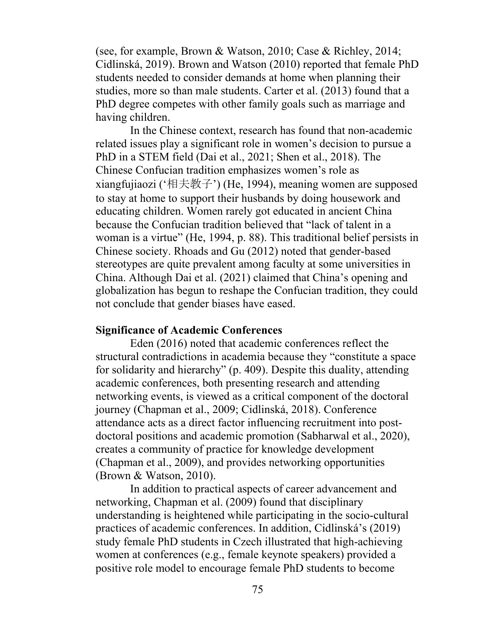(see, for example, Brown & Watson, 2010; Case & Richley, 2014; Cidlinská, 2019). Brown and Watson (2010) reported that female PhD students needed to consider demands at home when planning their studies, more so than male students. Carter et al. (2013) found that a PhD degree competes with other family goals such as marriage and having children.

In the Chinese context, research has found that non-academic related issues play a significant role in women's decision to pursue a PhD in a STEM field (Dai et al., 2021; Shen et al., 2018). The Chinese Confucian tradition emphasizes women's role as xiangfujiaozi ('相夫教子') (He, 1994), meaning women are supposed to stay at home to support their husbands by doing housework and educating children. Women rarely got educated in ancient China because the Confucian tradition believed that "lack of talent in a woman is a virtue" (He, 1994, p. 88). This traditional belief persists in Chinese society. Rhoads and Gu (2012) noted that gender-based stereotypes are quite prevalent among faculty at some universities in China. Although Dai et al. (2021) claimed that China's opening and globalization has begun to reshape the Confucian tradition, they could not conclude that gender biases have eased.

## **Significance of Academic Conferences**

Eden (2016) noted that academic conferences reflect the structural contradictions in academia because they "constitute a space for solidarity and hierarchy" (p. 409). Despite this duality, attending academic conferences, both presenting research and attending networking events, is viewed as a critical component of the doctoral journey (Chapman et al., 2009; Cidlinská, 2018). Conference attendance acts as a direct factor influencing recruitment into postdoctoral positions and academic promotion (Sabharwal et al., 2020), creates a community of practice for knowledge development (Chapman et al., 2009), and provides networking opportunities (Brown & Watson, 2010).

In addition to practical aspects of career advancement and networking, Chapman et al. (2009) found that disciplinary understanding is heightened while participating in the socio-cultural practices of academic conferences. In addition, Cidlinská's (2019) study female PhD students in Czech illustrated that high-achieving women at conferences (e.g., female keynote speakers) provided a positive role model to encourage female PhD students to become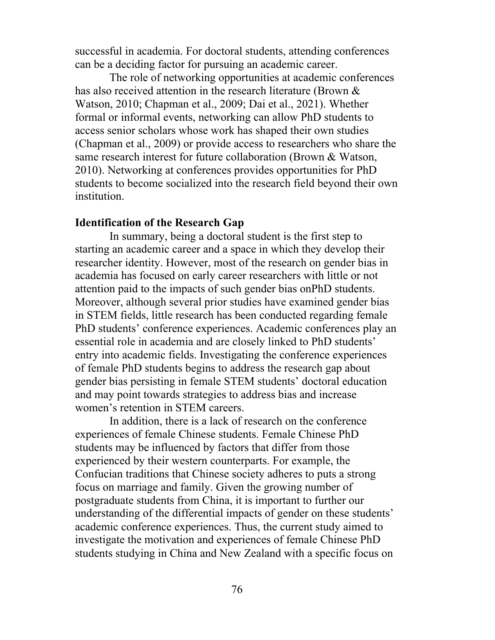successful in academia. For doctoral students, attending conferences can be a deciding factor for pursuing an academic career.

The role of networking opportunities at academic conferences has also received attention in the research literature (Brown & Watson, 2010; Chapman et al., 2009; Dai et al., 2021). Whether formal or informal events, networking can allow PhD students to access senior scholars whose work has shaped their own studies (Chapman et al., 2009) or provide access to researchers who share the same research interest for future collaboration (Brown & Watson, 2010). Networking at conferences provides opportunities for PhD students to become socialized into the research field beyond their own institution.

## **Identification of the Research Gap**

In summary, being a doctoral student is the first step to starting an academic career and a space in which they develop their researcher identity. However, most of the research on gender bias in academia has focused on early career researchers with little or not attention paid to the impacts of such gender bias onPhD students. Moreover, although several prior studies have examined gender bias in STEM fields, little research has been conducted regarding female PhD students' conference experiences. Academic conferences play an essential role in academia and are closely linked to PhD students' entry into academic fields. Investigating the conference experiences of female PhD students begins to address the research gap about gender bias persisting in female STEM students' doctoral education and may point towards strategies to address bias and increase women's retention in STEM careers.

In addition, there is a lack of research on the conference experiences of female Chinese students. Female Chinese PhD students may be influenced by factors that differ from those experienced by their western counterparts. For example, the Confucian traditions that Chinese society adheres to puts a strong focus on marriage and family. Given the growing number of postgraduate students from China, it is important to further our understanding of the differential impacts of gender on these students' academic conference experiences. Thus, the current study aimed to investigate the motivation and experiences of female Chinese PhD students studying in China and New Zealand with a specific focus on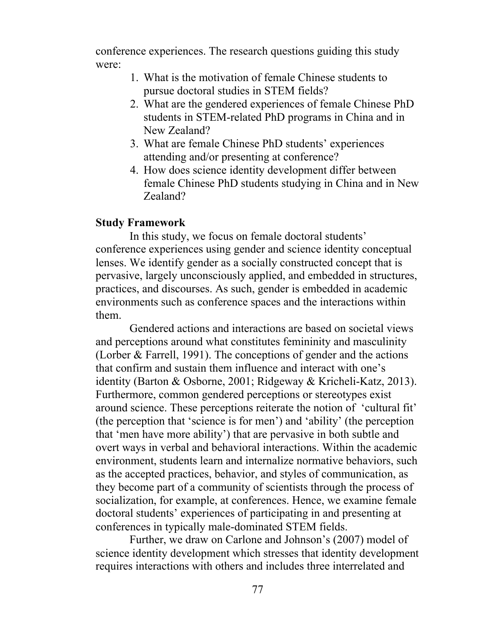conference experiences. The research questions guiding this study were:

- 1. What is the motivation of female Chinese students to pursue doctoral studies in STEM fields?
- 2. What are the gendered experiences of female Chinese PhD students in STEM-related PhD programs in China and in New Zealand?
- 3. What are female Chinese PhD students' experiences attending and/or presenting at conference?
- 4. How does science identity development differ between female Chinese PhD students studying in China and in New Zealand?

## **Study Framework**

In this study, we focus on female doctoral students' conference experiences using gender and science identity conceptual lenses. We identify gender as a socially constructed concept that is pervasive, largely unconsciously applied, and embedded in structures, practices, and discourses. As such, gender is embedded in academic environments such as conference spaces and the interactions within them.

Gendered actions and interactions are based on societal views and perceptions around what constitutes femininity and masculinity (Lorber & Farrell, 1991). The conceptions of gender and the actions that confirm and sustain them influence and interact with one's identity (Barton & Osborne, 2001; Ridgeway & Kricheli-Katz, 2013). Furthermore, common gendered perceptions or stereotypes exist around science. These perceptions reiterate the notion of 'cultural fit' (the perception that 'science is for men') and 'ability' (the perception that 'men have more ability') that are pervasive in both subtle and overt ways in verbal and behavioral interactions. Within the academic environment, students learn and internalize normative behaviors, such as the accepted practices, behavior, and styles of communication, as they become part of a community of scientists through the process of socialization, for example, at conferences. Hence, we examine female doctoral students' experiences of participating in and presenting at conferences in typically male-dominated STEM fields.

Further, we draw on Carlone and Johnson's (2007) model of science identity development which stresses that identity development requires interactions with others and includes three interrelated and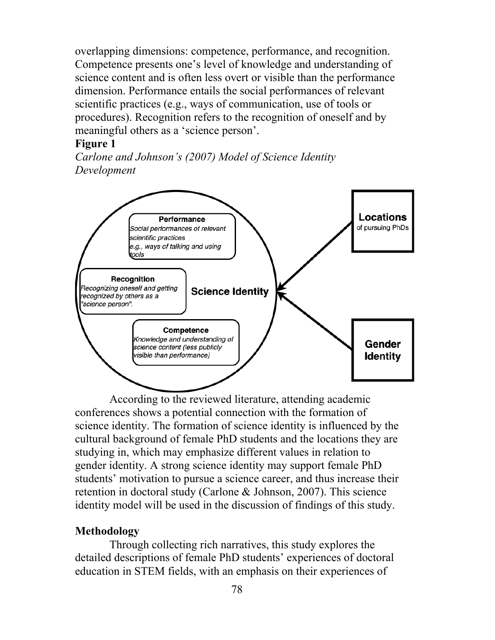overlapping dimensions: competence, performance, and recognition. Competence presents one's level of knowledge and understanding of science content and is often less overt or visible than the performance dimension. Performance entails the social performances of relevant scientific practices (e.g., ways of communication, use of tools or procedures). Recognition refers to the recognition of oneself and by meaningful others as a 'science person'.

## **Figure 1**

*Carlone and Johnson's (2007) Model of Science Identity Development*



According to the reviewed literature, attending academic conferences shows a potential connection with the formation of science identity. The formation of science identity is influenced by the cultural background of female PhD students and the locations they are studying in, which may emphasize different values in relation to gender identity. A strong science identity may support female PhD students' motivation to pursue a science career, and thus increase their retention in doctoral study (Carlone & Johnson, 2007). This science identity model will be used in the discussion of findings of this study.

# **Methodology**

Through collecting rich narratives, this study explores the detailed descriptions of female PhD students' experiences of doctoral education in STEM fields, with an emphasis on their experiences of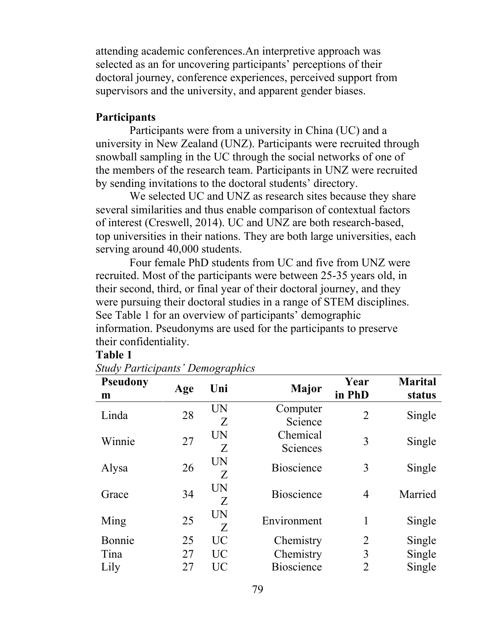attending academic conferences.An interpretive approach was selected as an for uncovering participants' perceptions of their doctoral journey, conference experiences, perceived support from supervisors and the university, and apparent gender biases.

## **Participants**

Participants were from a university in China (UC) and a university in New Zealand (UNZ). Participants were recruited through snowball sampling in the UC through the social networks of one of the members of the research team. Participants in UNZ were recruited by sending invitations to the doctoral students' directory.

We selected UC and UNZ as research sites because they share several similarities and thus enable comparison of contextual factors of interest (Creswell, 2014). UC and UNZ are both research-based, top universities in their nations. They are both large universities, each serving around 40,000 students.

Four female PhD students from UC and five from UNZ were recruited. Most of the participants were between 25-35 years old, in their second, third, or final year of their doctoral journey, and they were pursuing their doctoral studies in a range of STEM disciplines. See Table 1 for an overview of participants' demographic information. Pseudonyms are used for the participants to preserve their confidentiality.

#### **Table 1**

| <b>Pseudony</b><br>m | Age | Uni             | Major                | Year<br>in PhD | <b>Marital</b><br>status |
|----------------------|-----|-----------------|----------------------|----------------|--------------------------|
| Linda                | 28  | UN<br>Z         | Computer<br>Science  | $\overline{2}$ | Single                   |
| Winnie               | 27  | UN<br>Z         | Chemical<br>Sciences | 3              | Single                   |
| Alysa                | 26  | UN<br>Z         | <b>Bioscience</b>    | 3              | Single                   |
| Grace                | 34  | UN<br>Z         | <b>Bioscience</b>    | $\overline{4}$ | Married                  |
| Ming                 | 25  | UN<br>Z         | Environment          | 1              | Single                   |
| Bonnie               | 25  | <b>UC</b>       | Chemistry            | $\overline{2}$ | Single                   |
| Tina                 | 27  | <b>UC</b>       | Chemistry            | 3              | Single                   |
| Lily                 | 27  | $\overline{UC}$ | <b>Bioscience</b>    | $\overline{2}$ | Single                   |

*Study Participants' Demographics*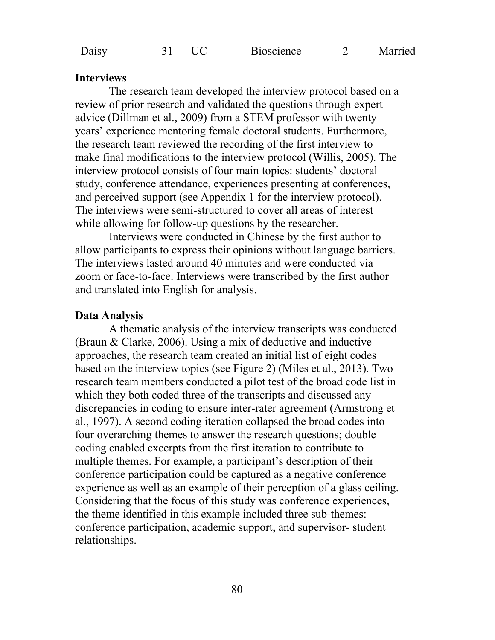#### **Interviews**

The research team developed the interview protocol based on a review of prior research and validated the questions through expert advice (Dillman et al., 2009) from a STEM professor with twenty years' experience mentoring female doctoral students. Furthermore, the research team reviewed the recording of the first interview to make final modifications to the interview protocol (Willis, 2005). The interview protocol consists of four main topics: students' doctoral study, conference attendance, experiences presenting at conferences, and perceived support (see Appendix 1 for the interview protocol). The interviews were semi-structured to cover all areas of interest while allowing for follow-up questions by the researcher.

Interviews were conducted in Chinese by the first author to allow participants to express their opinions without language barriers. The interviews lasted around 40 minutes and were conducted via zoom or face-to-face. Interviews were transcribed by the first author and translated into English for analysis.

#### **Data Analysis**

A thematic analysis of the interview transcripts was conducted (Braun & Clarke, 2006). Using a mix of deductive and inductive approaches, the research team created an initial list of eight codes based on the interview topics (see Figure 2) (Miles et al., 2013). Two research team members conducted a pilot test of the broad code list in which they both coded three of the transcripts and discussed any discrepancies in coding to ensure inter-rater agreement (Armstrong et al., 1997). A second coding iteration collapsed the broad codes into four overarching themes to answer the research questions; double coding enabled excerpts from the first iteration to contribute to multiple themes. For example, a participant's description of their conference participation could be captured as a negative conference experience as well as an example of their perception of a glass ceiling. Considering that the focus of this study was conference experiences, the theme identified in this example included three sub-themes: conference participation, academic support, and supervisor- student relationships.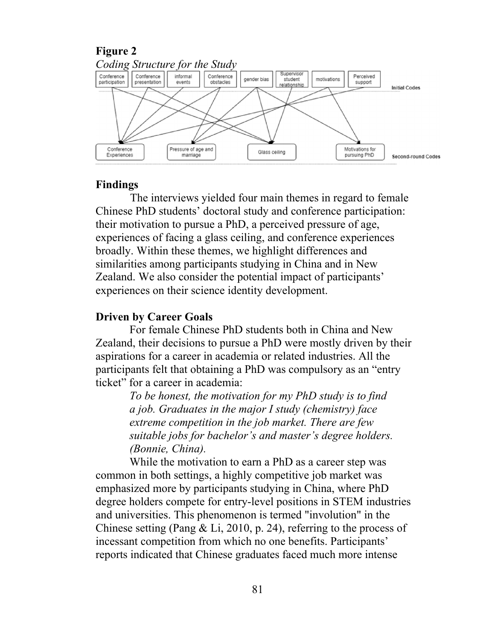

#### **Findings**

The interviews yielded four main themes in regard to female Chinese PhD students' doctoral study and conference participation: their motivation to pursue a PhD, a perceived pressure of age, experiences of facing a glass ceiling, and conference experiences broadly. Within these themes, we highlight differences and similarities among participants studying in China and in New Zealand. We also consider the potential impact of participants' experiences on their science identity development.

### **Driven by Career Goals**

For female Chinese PhD students both in China and New Zealand, their decisions to pursue a PhD were mostly driven by their aspirations for a career in academia or related industries. All the participants felt that obtaining a PhD was compulsory as an "entry ticket" for a career in academia:

> *To be honest, the motivation for my PhD study is to find a job. Graduates in the major I study (chemistry) face extreme competition in the job market. There are few suitable jobs for bachelor's and master's degree holders. (Bonnie, China).*

While the motivation to earn a PhD as a career step was common in both settings, a highly competitive job market was emphasized more by participants studying in China, where PhD degree holders compete for entry-level positions in STEM industries and universities. This phenomenon is termed "involution" in the Chinese setting (Pang & Li, 2010, p. 24), referring to the process of incessant competition from which no one benefits. Participants' reports indicated that Chinese graduates faced much more intense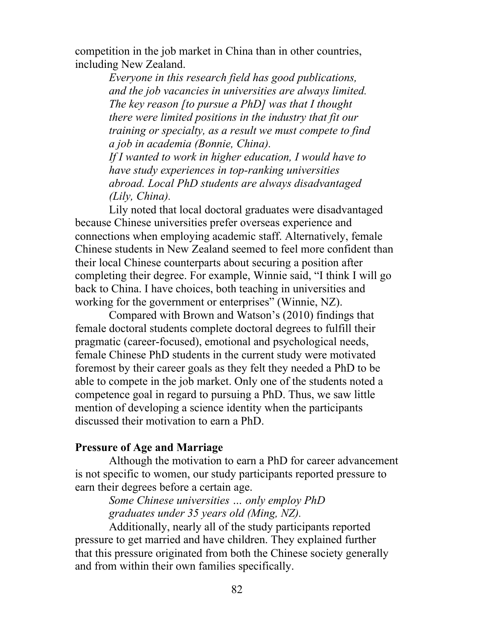competition in the job market in China than in other countries, including New Zealand.

> *Everyone in this research field has good publications, and the job vacancies in universities are always limited. The key reason [to pursue a PhD] was that I thought there were limited positions in the industry that fit our training or specialty, as a result we must compete to find a job in academia (Bonnie, China).*

*If I wanted to work in higher education, I would have to have study experiences in top-ranking universities abroad. Local PhD students are always disadvantaged (Lily, China).* 

Lily noted that local doctoral graduates were disadvantaged because Chinese universities prefer overseas experience and connections when employing academic staff. Alternatively, female Chinese students in New Zealand seemed to feel more confident than their local Chinese counterparts about securing a position after completing their degree. For example, Winnie said, "I think I will go back to China. I have choices, both teaching in universities and working for the government or enterprises" (Winnie, NZ).

Compared with Brown and Watson's (2010) findings that female doctoral students complete doctoral degrees to fulfill their pragmatic (career-focused), emotional and psychological needs, female Chinese PhD students in the current study were motivated foremost by their career goals as they felt they needed a PhD to be able to compete in the job market. Only one of the students noted a competence goal in regard to pursuing a PhD. Thus, we saw little mention of developing a science identity when the participants discussed their motivation to earn a PhD.

### **Pressure of Age and Marriage**

Although the motivation to earn a PhD for career advancement is not specific to women, our study participants reported pressure to earn their degrees before a certain age.

> *Some Chinese universities … only employ PhD graduates under 35 years old (Ming, NZ).*

Additionally, nearly all of the study participants reported pressure to get married and have children. They explained further that this pressure originated from both the Chinese society generally and from within their own families specifically.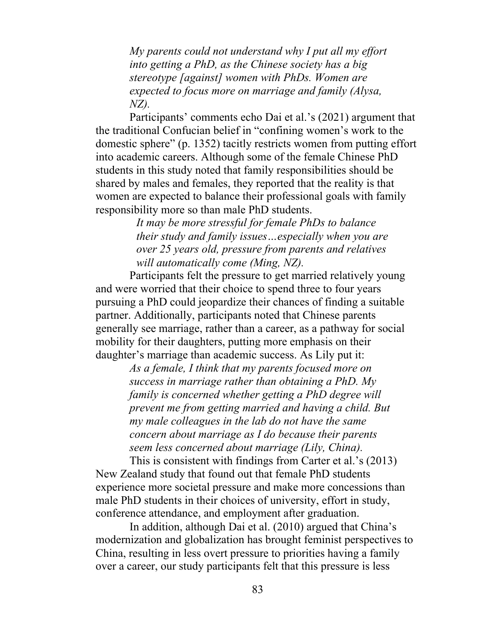*My parents could not understand why I put all my effort into getting a PhD, as the Chinese society has a big stereotype [against] women with PhDs. Women are expected to focus more on marriage and family (Alysa, NZ).*

Participants' comments echo Dai et al.'s (2021) argument that the traditional Confucian belief in "confining women's work to the domestic sphere" (p. 1352) tacitly restricts women from putting effort into academic careers. Although some of the female Chinese PhD students in this study noted that family responsibilities should be shared by males and females, they reported that the reality is that women are expected to balance their professional goals with family responsibility more so than male PhD students.

> *It may be more stressful for female PhDs to balance their study and family issues…especially when you are over 25 years old, pressure from parents and relatives will automatically come (Ming, NZ).*

Participants felt the pressure to get married relatively young and were worried that their choice to spend three to four years pursuing a PhD could jeopardize their chances of finding a suitable partner. Additionally, participants noted that Chinese parents generally see marriage, rather than a career, as a pathway for social mobility for their daughters, putting more emphasis on their daughter's marriage than academic success. As Lily put it:

> *As a female, I think that my parents focused more on success in marriage rather than obtaining a PhD. My family is concerned whether getting a PhD degree will prevent me from getting married and having a child. But my male colleagues in the lab do not have the same concern about marriage as I do because their parents seem less concerned about marriage (Lily, China).*

This is consistent with findings from Carter et al.'s (2013) New Zealand study that found out that female PhD students experience more societal pressure and make more concessions than male PhD students in their choices of university, effort in study, conference attendance, and employment after graduation.

In addition, although Dai et al. (2010) argued that China's modernization and globalization has brought feminist perspectives to China, resulting in less overt pressure to priorities having a family over a career, our study participants felt that this pressure is less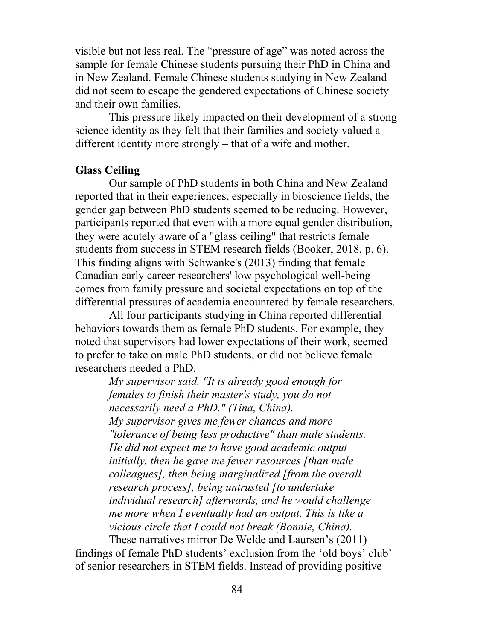visible but not less real. The "pressure of age" was noted across the sample for female Chinese students pursuing their PhD in China and in New Zealand. Female Chinese students studying in New Zealand did not seem to escape the gendered expectations of Chinese society and their own families.

This pressure likely impacted on their development of a strong science identity as they felt that their families and society valued a different identity more strongly – that of a wife and mother.

## **Glass Ceiling**

Our sample of PhD students in both China and New Zealand reported that in their experiences, especially in bioscience fields, the gender gap between PhD students seemed to be reducing. However, participants reported that even with a more equal gender distribution, they were acutely aware of a "glass ceiling" that restricts female students from success in STEM research fields (Booker, 2018, p. 6). This finding aligns with Schwanke's (2013) finding that female Canadian early career researchers' low psychological well-being comes from family pressure and societal expectations on top of the differential pressures of academia encountered by female researchers.

All four participants studying in China reported differential behaviors towards them as female PhD students. For example, they noted that supervisors had lower expectations of their work, seemed to prefer to take on male PhD students, or did not believe female researchers needed a PhD.

> *My supervisor said, "It is already good enough for females to finish their master's study, you do not necessarily need a PhD." (Tina, China). My supervisor gives me fewer chances and more "tolerance of being less productive" than male students. He did not expect me to have good academic output initially, then he gave me fewer resources [than male colleagues], then being marginalized [from the overall research process], being untrusted [to undertake individual research] afterwards, and he would challenge me more when I eventually had an output. This is like a vicious circle that I could not break (Bonnie, China).*

These narratives mirror De Welde and Laursen's (2011) findings of female PhD students' exclusion from the 'old boys' club' of senior researchers in STEM fields. Instead of providing positive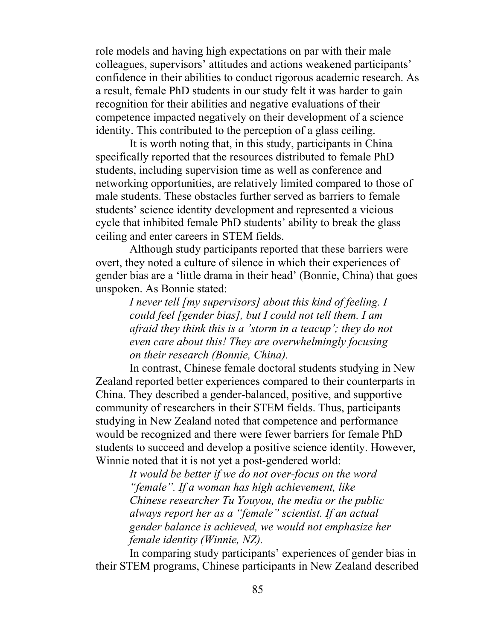role models and having high expectations on par with their male colleagues, supervisors' attitudes and actions weakened participants' confidence in their abilities to conduct rigorous academic research. As a result, female PhD students in our study felt it was harder to gain recognition for their abilities and negative evaluations of their competence impacted negatively on their development of a science identity. This contributed to the perception of a glass ceiling.

It is worth noting that, in this study, participants in China specifically reported that the resources distributed to female PhD students, including supervision time as well as conference and networking opportunities, are relatively limited compared to those of male students. These obstacles further served as barriers to female students' science identity development and represented a vicious cycle that inhibited female PhD students' ability to break the glass ceiling and enter careers in STEM fields.

Although study participants reported that these barriers were overt, they noted a culture of silence in which their experiences of gender bias are a 'little drama in their head' (Bonnie, China) that goes unspoken. As Bonnie stated:

> *I never tell [my supervisors] about this kind of feeling. I could feel [gender bias], but I could not tell them. I am afraid they think this is a 'storm in a teacup'; they do not even care about this! They are overwhelmingly focusing on their research (Bonnie, China).*

In contrast, Chinese female doctoral students studying in New Zealand reported better experiences compared to their counterparts in China. They described a gender-balanced, positive, and supportive community of researchers in their STEM fields. Thus, participants studying in New Zealand noted that competence and performance would be recognized and there were fewer barriers for female PhD students to succeed and develop a positive science identity. However, Winnie noted that it is not yet a post-gendered world:

> *It would be better if we do not over-focus on the word "female". If a woman has high achievement, like Chinese researcher Tu Youyou, the media or the public always report her as a "female" scientist. If an actual gender balance is achieved, we would not emphasize her female identity (Winnie, NZ).*

In comparing study participants' experiences of gender bias in their STEM programs, Chinese participants in New Zealand described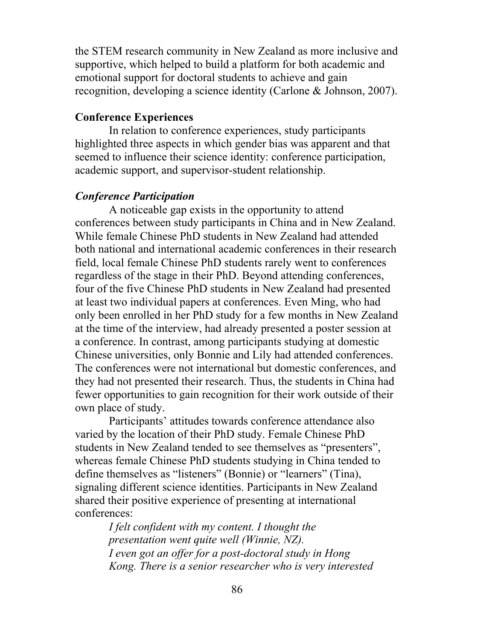the STEM research community in New Zealand as more inclusive and supportive, which helped to build a platform for both academic and emotional support for doctoral students to achieve and gain recognition, developing a science identity (Carlone & Johnson, 2007).

## **Conference Experiences**

In relation to conference experiences, study participants highlighted three aspects in which gender bias was apparent and that seemed to influence their science identity: conference participation, academic support, and supervisor-student relationship.

### *Conference Participation*

A noticeable gap exists in the opportunity to attend conferences between study participants in China and in New Zealand. While female Chinese PhD students in New Zealand had attended both national and international academic conferences in their research field, local female Chinese PhD students rarely went to conferences regardless of the stage in their PhD. Beyond attending conferences, four of the five Chinese PhD students in New Zealand had presented at least two individual papers at conferences. Even Ming, who had only been enrolled in her PhD study for a few months in New Zealand at the time of the interview, had already presented a poster session at a conference. In contrast, among participants studying at domestic Chinese universities, only Bonnie and Lily had attended conferences. The conferences were not international but domestic conferences, and they had not presented their research. Thus, the students in China had fewer opportunities to gain recognition for their work outside of their own place of study.

Participants' attitudes towards conference attendance also varied by the location of their PhD study. Female Chinese PhD students in New Zealand tended to see themselves as "presenters", whereas female Chinese PhD students studying in China tended to define themselves as "listeners" (Bonnie) or "learners" (Tina), signaling different science identities. Participants in New Zealand shared their positive experience of presenting at international conferences:

> *I felt confident with my content. I thought the presentation went quite well (Winnie, NZ). I even got an offer for a post-doctoral study in Hong Kong. There is a senior researcher who is very interested*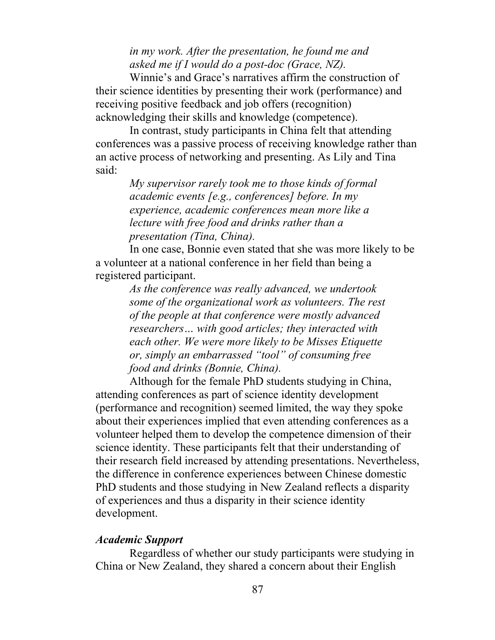*in my work. After the presentation, he found me and asked me if I would do a post-doc (Grace, NZ).*

Winnie's and Grace's narratives affirm the construction of their science identities by presenting their work (performance) and receiving positive feedback and job offers (recognition) acknowledging their skills and knowledge (competence).

In contrast, study participants in China felt that attending conferences was a passive process of receiving knowledge rather than an active process of networking and presenting. As Lily and Tina said:

> *My supervisor rarely took me to those kinds of formal academic events [e.g., conferences] before. In my experience, academic conferences mean more like a lecture with free food and drinks rather than a presentation (Tina, China).*

In one case, Bonnie even stated that she was more likely to be a volunteer at a national conference in her field than being a registered participant.

*As the conference was really advanced, we undertook some of the organizational work as volunteers. The rest of the people at that conference were mostly advanced researchers… with good articles; they interacted with each other. We were more likely to be Misses Etiquette or, simply an embarrassed "tool" of consuming free food and drinks (Bonnie, China).* 

Although for the female PhD students studying in China, attending conferences as part of science identity development (performance and recognition) seemed limited, the way they spoke about their experiences implied that even attending conferences as a volunteer helped them to develop the competence dimension of their science identity. These participants felt that their understanding of their research field increased by attending presentations. Nevertheless, the difference in conference experiences between Chinese domestic PhD students and those studying in New Zealand reflects a disparity of experiences and thus a disparity in their science identity development.

### *Academic Support*

Regardless of whether our study participants were studying in China or New Zealand, they shared a concern about their English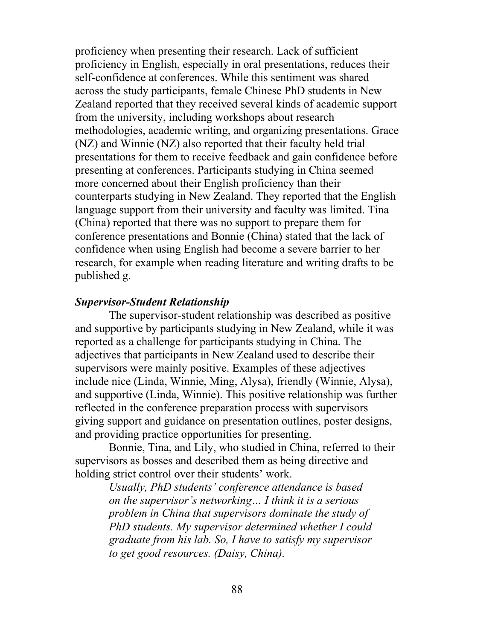proficiency when presenting their research. Lack of sufficient proficiency in English, especially in oral presentations, reduces their self-confidence at conferences. While this sentiment was shared across the study participants, female Chinese PhD students in New Zealand reported that they received several kinds of academic support from the university, including workshops about research methodologies, academic writing, and organizing presentations. Grace (NZ) and Winnie (NZ) also reported that their faculty held trial presentations for them to receive feedback and gain confidence before presenting at conferences. Participants studying in China seemed more concerned about their English proficiency than their counterparts studying in New Zealand. They reported that the English language support from their university and faculty was limited. Tina (China) reported that there was no support to prepare them for conference presentations and Bonnie (China) stated that the lack of confidence when using English had become a severe barrier to her research, for example when reading literature and writing drafts to be published g.

### *Supervisor-Student Relationship*

The supervisor-student relationship was described as positive and supportive by participants studying in New Zealand, while it was reported as a challenge for participants studying in China. The adjectives that participants in New Zealand used to describe their supervisors were mainly positive. Examples of these adjectives include nice (Linda, Winnie, Ming, Alysa), friendly (Winnie, Alysa), and supportive (Linda, Winnie). This positive relationship was further reflected in the conference preparation process with supervisors giving support and guidance on presentation outlines, poster designs, and providing practice opportunities for presenting.

Bonnie, Tina, and Lily, who studied in China, referred to their supervisors as bosses and described them as being directive and holding strict control over their students' work.

> *Usually, PhD students' conference attendance is based on the supervisor's networking… I think it is a serious problem in China that supervisors dominate the study of PhD students. My supervisor determined whether I could graduate from his lab. So, I have to satisfy my supervisor to get good resources. (Daisy, China).*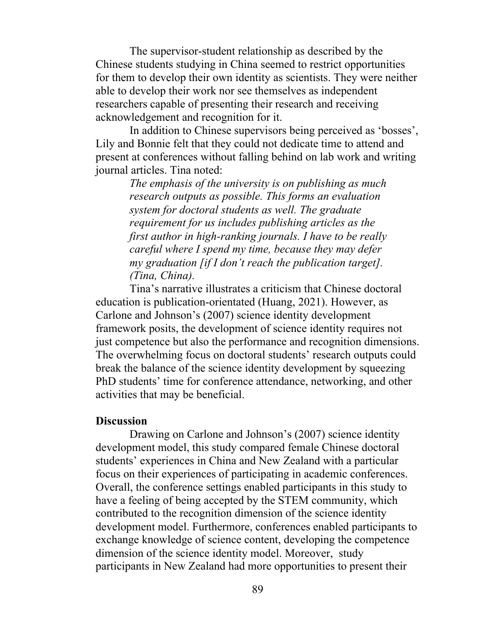The supervisor-student relationship as described by the Chinese students studying in China seemed to restrict opportunities for them to develop their own identity as scientists. They were neither able to develop their work nor see themselves as independent researchers capable of presenting their research and receiving acknowledgement and recognition for it.

In addition to Chinese supervisors being perceived as 'bosses', Lily and Bonnie felt that they could not dedicate time to attend and present at conferences without falling behind on lab work and writing journal articles. Tina noted:

> *The emphasis of the university is on publishing as much research outputs as possible. This forms an evaluation system for doctoral students as well. The graduate requirement for us includes publishing articles as the first author in high-ranking journals. I have to be really careful where I spend my time, because they may defer my graduation [if I don't reach the publication target]. (Tina, China).*

Tina's narrative illustrates a criticism that Chinese doctoral education is publication-orientated (Huang, 2021). However, as Carlone and Johnson's (2007) science identity development framework posits, the development of science identity requires not just competence but also the performance and recognition dimensions. The overwhelming focus on doctoral students' research outputs could break the balance of the science identity development by squeezing PhD students' time for conference attendance, networking, and other activities that may be beneficial.

#### **Discussion**

Drawing on Carlone and Johnson's (2007) science identity development model, this study compared female Chinese doctoral students' experiences in China and New Zealand with a particular focus on their experiences of participating in academic conferences. Overall, the conference settings enabled participants in this study to have a feeling of being accepted by the STEM community, which contributed to the recognition dimension of the science identity development model. Furthermore, conferences enabled participants to exchange knowledge of science content, developing the competence dimension of the science identity model. Moreover, study participants in New Zealand had more opportunities to present their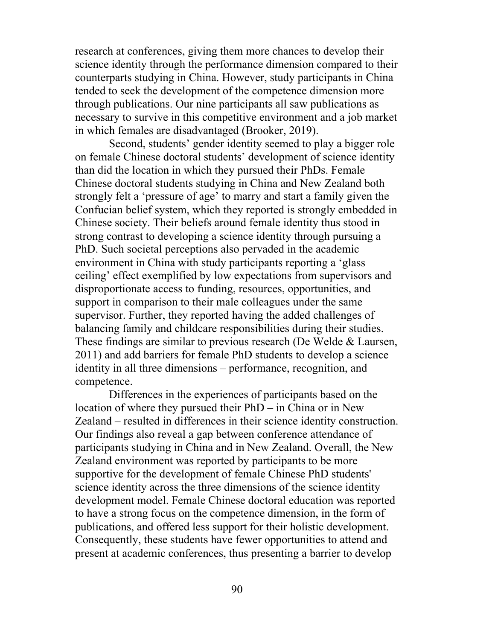research at conferences, giving them more chances to develop their science identity through the performance dimension compared to their counterparts studying in China. However, study participants in China tended to seek the development of the competence dimension more through publications. Our nine participants all saw publications as necessary to survive in this competitive environment and a job market in which females are disadvantaged (Brooker, 2019).

Second, students' gender identity seemed to play a bigger role on female Chinese doctoral students' development of science identity than did the location in which they pursued their PhDs. Female Chinese doctoral students studying in China and New Zealand both strongly felt a 'pressure of age' to marry and start a family given the Confucian belief system, which they reported is strongly embedded in Chinese society. Their beliefs around female identity thus stood in strong contrast to developing a science identity through pursuing a PhD. Such societal perceptions also pervaded in the academic environment in China with study participants reporting a 'glass ceiling' effect exemplified by low expectations from supervisors and disproportionate access to funding, resources, opportunities, and support in comparison to their male colleagues under the same supervisor. Further, they reported having the added challenges of balancing family and childcare responsibilities during their studies. These findings are similar to previous research (De Welde & Laursen, 2011) and add barriers for female PhD students to develop a science identity in all three dimensions – performance, recognition, and competence.

Differences in the experiences of participants based on the location of where they pursued their PhD – in China or in New Zealand – resulted in differences in their science identity construction. Our findings also reveal a gap between conference attendance of participants studying in China and in New Zealand. Overall, the New Zealand environment was reported by participants to be more supportive for the development of female Chinese PhD students' science identity across the three dimensions of the science identity development model. Female Chinese doctoral education was reported to have a strong focus on the competence dimension, in the form of publications, and offered less support for their holistic development. Consequently, these students have fewer opportunities to attend and present at academic conferences, thus presenting a barrier to develop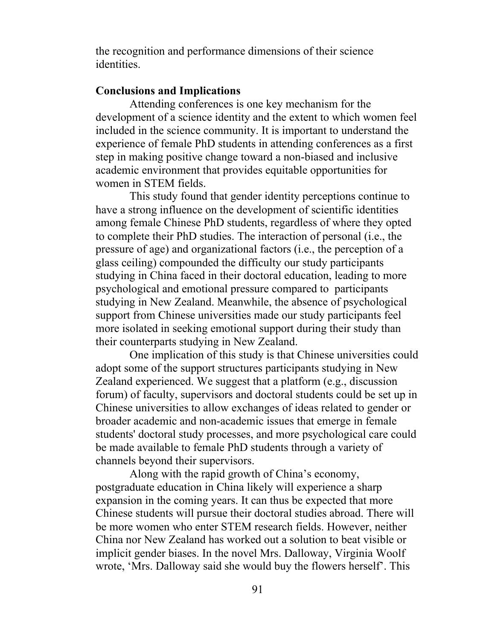the recognition and performance dimensions of their science identities.

## **Conclusions and Implications**

Attending conferences is one key mechanism for the development of a science identity and the extent to which women feel included in the science community. It is important to understand the experience of female PhD students in attending conferences as a first step in making positive change toward a non-biased and inclusive academic environment that provides equitable opportunities for women in STEM fields.

This study found that gender identity perceptions continue to have a strong influence on the development of scientific identities among female Chinese PhD students, regardless of where they opted to complete their PhD studies. The interaction of personal (i.e., the pressure of age) and organizational factors (i.e., the perception of a glass ceiling) compounded the difficulty our study participants studying in China faced in their doctoral education, leading to more psychological and emotional pressure compared to participants studying in New Zealand. Meanwhile, the absence of psychological support from Chinese universities made our study participants feel more isolated in seeking emotional support during their study than their counterparts studying in New Zealand.

One implication of this study is that Chinese universities could adopt some of the support structures participants studying in New Zealand experienced. We suggest that a platform (e.g., discussion forum) of faculty, supervisors and doctoral students could be set up in Chinese universities to allow exchanges of ideas related to gender or broader academic and non-academic issues that emerge in female students' doctoral study processes, and more psychological care could be made available to female PhD students through a variety of channels beyond their supervisors.

Along with the rapid growth of China's economy, postgraduate education in China likely will experience a sharp expansion in the coming years. It can thus be expected that more Chinese students will pursue their doctoral studies abroad. There will be more women who enter STEM research fields. However, neither China nor New Zealand has worked out a solution to beat visible or implicit gender biases. In the novel Mrs. Dalloway, Virginia Woolf wrote, 'Mrs. Dalloway said she would buy the flowers herself'. This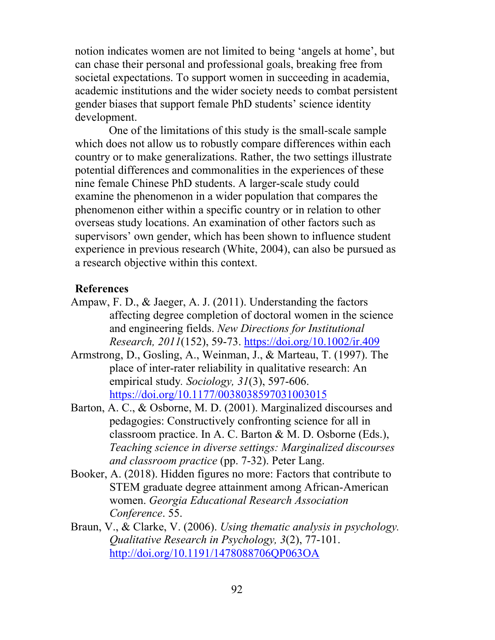notion indicates women are not limited to being 'angels at home', but can chase their personal and professional goals, breaking free from societal expectations. To support women in succeeding in academia, academic institutions and the wider society needs to combat persistent gender biases that support female PhD students' science identity development.

One of the limitations of this study is the small-scale sample which does not allow us to robustly compare differences within each country or to make generalizations. Rather, the two settings illustrate potential differences and commonalities in the experiences of these nine female Chinese PhD students. A larger-scale study could examine the phenomenon in a wider population that compares the phenomenon either within a specific country or in relation to other overseas study locations. An examination of other factors such as supervisors' own gender, which has been shown to influence student experience in previous research (White, 2004), can also be pursued as a research objective within this context.

## **References**

- Ampaw, F. D., & Jaeger, A. J. (2011). Understanding the factors affecting degree completion of doctoral women in the science and engineering fields. *New Directions for Institutional Research, 2011*(152), 59-73. https://doi.org/10.1002/ir.409
- Armstrong, D., Gosling, A., Weinman, J., & Marteau, T. (1997). The place of inter-rater reliability in qualitative research: An empirical study*. Sociology, 31*(3), 597-606. https://doi.org/10.1177/0038038597031003015
- Barton, A. C., & Osborne, M. D. (2001). Marginalized discourses and pedagogies: Constructively confronting science for all in classroom practice. In A. C. Barton & M. D. Osborne (Eds.), *Teaching science in diverse settings: Marginalized discourses and classroom practice* (pp. 7-32). Peter Lang.
- Booker, A. (2018). Hidden figures no more: Factors that contribute to STEM graduate degree attainment among African-American women. *Georgia Educational Research Association Conference*. 55.
- Braun, V., & Clarke, V. (2006). *Using thematic analysis in psychology. Qualitative Research in Psychology, 3*(2), 77-101. http://doi.org/10.1191/1478088706QP063OA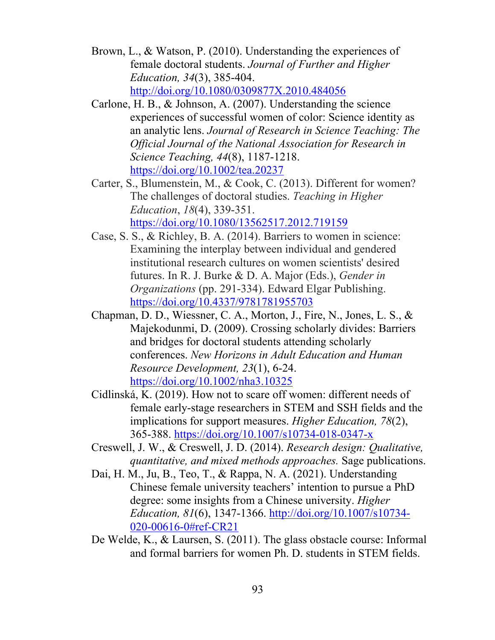- Brown, L., & Watson, P. (2010). Understanding the experiences of female doctoral students. *Journal of Further and Higher Education, 34*(3), 385-404. http://doi.org/10.1080/0309877X.2010.484056
- Carlone, H. B., & Johnson, A. (2007). Understanding the science experiences of successful women of color: Science identity as an analytic lens. *Journal of Research in Science Teaching: The Official Journal of the National Association for Research in Science Teaching, 44*(8), 1187-1218. https://doi.org/10.1002/tea.20237
- Carter, S., Blumenstein, M., & Cook, C. (2013). Different for women? The challenges of doctoral studies. *Teaching in Higher Education*, *18*(4), 339-351. https://doi.org/10.1080/13562517.2012.719159
- Case, S. S., & Richley, B. A. (2014). Barriers to women in science: Examining the interplay between individual and gendered institutional research cultures on women scientists' desired futures. In R. J. Burke & D. A. Major (Eds.), *Gender in Organizations* (pp. 291-334). Edward Elgar Publishing. https://doi.org/10.4337/9781781955703
- Chapman, D. D., Wiessner, C. A., Morton, J., Fire, N., Jones, L. S., & Majekodunmi, D. (2009). Crossing scholarly divides: Barriers and bridges for doctoral students attending scholarly conferences. *New Horizons in Adult Education and Human Resource Development, 23*(1), 6-24. https://doi.org/10.1002/nha3.10325
- Cidlinská, K. (2019). How not to scare off women: different needs of female early-stage researchers in STEM and SSH fields and the implications for support measures. *Higher Education, 78*(2), 365-388. https://doi.org/10.1007/s10734-018-0347-x
- Creswell, J. W., & Creswell, J. D. (2014). *Research design: Qualitative, quantitative, and mixed methods approaches.* Sage publications.
- Dai, H. M., Ju, B., Teo, T., & Rappa, N. A. (2021). Understanding Chinese female university teachers' intention to pursue a PhD degree: some insights from a Chinese university. *Higher Education, 81*(6), 1347-1366. http://doi.org/10.1007/s10734- 020-00616-0#ref-CR21
- De Welde, K., & Laursen, S. (2011). The glass obstacle course: Informal and formal barriers for women Ph. D. students in STEM fields.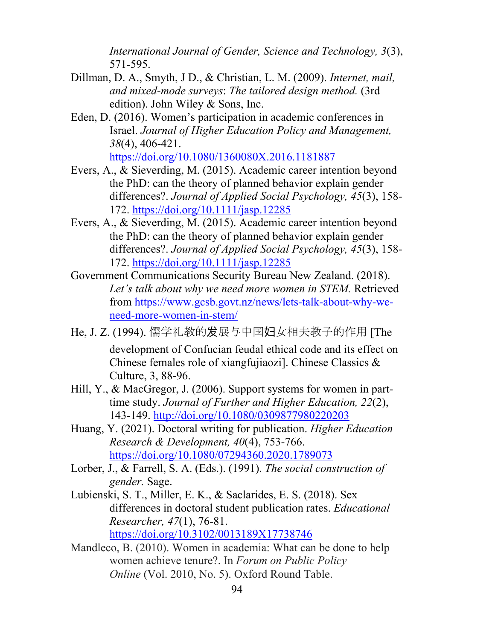*International Journal of Gender, Science and Technology, 3*(3), 571-595.

- Dillman, D. A., Smyth, J D., & Christian, L. M. (2009). *Internet, mail, and mixed-mode surveys*: *The tailored design method.* (3rd edition). John Wiley & Sons, Inc.
- Eden, D. (2016). Women's participation in academic conferences in Israel. *Journal of Higher Education Policy and Management, 38*(4), 406-421. https://doi.org/10.1080/1360080X.2016.1181887
- Evers, A., & Sieverding, M. (2015). Academic career intention beyond the PhD: can the theory of planned behavior explain gender differences?. *Journal of Applied Social Psychology, 45*(3), 158- 172. https://doi.org/10.1111/jasp.12285
- Evers, A., & Sieverding, M. (2015). Academic career intention beyond the PhD: can the theory of planned behavior explain gender differences?. *Journal of Applied Social Psychology, 45*(3), 158- 172. https://doi.org/10.1111/jasp.12285
- Government Communications Security Bureau New Zealand. (2018). *Let's talk about why we need more women in STEM.* Retrieved from https://www.gcsb.govt.nz/news/lets-talk-about-why-weneed-more-women-in-stem/
- He, J. Z. (1994). 儒学礼教的发展与中国妇女相夫教子的作用 [The development of Confucian feudal ethical code and its effect on Chinese females role of xiangfujiaozi]. Chinese Classics & Culture, 3, 88-96.
- Hill, Y., & MacGregor, J. (2006). Support systems for women in part‐ time study. *Journal of Further and Higher Education, 22*(2), 143-149. http://doi.org/10.1080/0309877980220203
- Huang, Y. (2021). Doctoral writing for publication. *Higher Education Research & Development, 40*(4), 753-766. https://doi.org/10.1080/07294360.2020.1789073
- Lorber, J., & Farrell, S. A. (Eds.). (1991). *The social construction of gender.* Sage.
- Lubienski, S. T., Miller, E. K., & Saclarides, E. S. (2018). Sex differences in doctoral student publication rates. *Educational Researcher, 47*(1), 76-81. https://doi.org/10.3102/0013189X17738746
- Mandleco, B. (2010). Women in academia: What can be done to help women achieve tenure?. In *Forum on Public Policy Online* (Vol. 2010, No. 5). Oxford Round Table.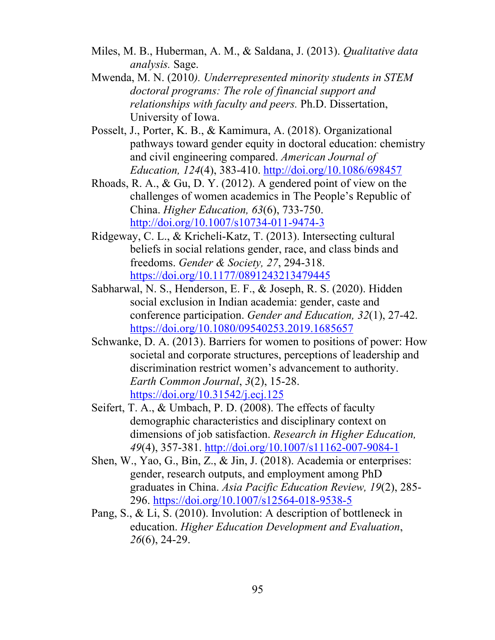- Miles, M. B., Huberman, A. M., & Saldana, J. (2013). *Qualitative data analysis.* Sage.
- Mwenda, M. N. (2010*). Underrepresented minority students in STEM doctoral programs: The role of financial support and relationships with faculty and peers.* Ph.D. Dissertation, University of Iowa.
- Posselt, J., Porter, K. B., & Kamimura, A. (2018). Organizational pathways toward gender equity in doctoral education: chemistry and civil engineering compared. *American Journal of Education, 124*(4), 383-410. http://doi.org/10.1086/698457
- Rhoads, R. A., & Gu, D. Y. (2012). A gendered point of view on the challenges of women academics in The People's Republic of China. *Higher Education, 63*(6), 733-750. http://doi.org/10.1007/s10734-011-9474-3
- Ridgeway, C. L., & Kricheli-Katz, T. (2013). Intersecting cultural beliefs in social relations gender, race, and class binds and freedoms. *Gender & Society, 27*, 294-318. https://doi.org/10.1177/0891243213479445
- Sabharwal, N. S., Henderson, E. F., & Joseph, R. S. (2020). Hidden social exclusion in Indian academia: gender, caste and conference participation. *Gender and Education, 32*(1), 27-42. https://doi.org/10.1080/09540253.2019.1685657
- Schwanke, D. A. (2013). Barriers for women to positions of power: How societal and corporate structures, perceptions of leadership and discrimination restrict women's advancement to authority. *Earth Common Journal*, *3*(2), 15-28. https://doi.org/10.31542/j.ecj.125
- Seifert, T. A., & Umbach, P. D. (2008). The effects of faculty demographic characteristics and disciplinary context on dimensions of job satisfaction. *Research in Higher Education, 49*(4), 357-381. http://doi.org/10.1007/s11162-007-9084-1
- Shen, W., Yao, G., Bin, Z., & Jin, J. (2018). Academia or enterprises: gender, research outputs, and employment among PhD graduates in China. *Asia Pacific Education Review, 19*(2), 285- 296. https://doi.org/10.1007/s12564-018-9538-5
- Pang, S., & Li, S. (2010). Involution: A description of bottleneck in education. *Higher Education Development and Evaluation*, *26*(6), 24-29.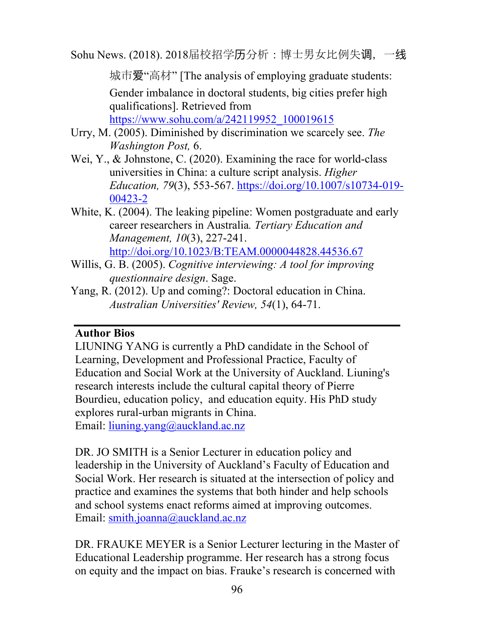Sohu News. (2018). 2018届校招学历分析:博士男女比例失调,一线

城市爱"高材" [The analysis of employing graduate students: Gender imbalance in doctoral students, big cities prefer high qualifications]. Retrieved from https://www.sohu.com/a/242119952\_100019615

- Urry, M. (2005). Diminished by discrimination we scarcely see. *The Washington Post,* 6.
- Wei, Y., & Johnstone, C. (2020). Examining the race for world-class universities in China: a culture script analysis. *Higher Education, 79*(3), 553-567. https://doi.org/10.1007/s10734-019- 00423-2
- White, K. (2004). The leaking pipeline: Women postgraduate and early career researchers in Australia*. Tertiary Education and Management, 10*(3), 227-241. http://doi.org/10.1023/B:TEAM.0000044828.44536.67
- Willis, G. B. (2005). *Cognitive interviewing: A tool for improving questionnaire design*. Sage.
- Yang, R. (2012). Up and coming?: Doctoral education in China. *Australian Universities' Review, 54*(1), 64-71.

# **Author Bios**

LIUNING YANG is currently a PhD candidate in the School of Learning, Development and Professional Practice, Faculty of Education and Social Work at the University of Auckland. Liuning's research interests include the cultural capital theory of Pierre Bourdieu, education policy, and education equity. His PhD study explores rural-urban migrants in China. Email: liuning.yang@auckland.ac.nz

DR. JO SMITH is a Senior Lecturer in education policy and leadership in the University of Auckland's Faculty of Education and Social Work. Her research is situated at the intersection of policy and practice and examines the systems that both hinder and help schools and school systems enact reforms aimed at improving outcomes. Email: smith.joanna@auckland.ac.nz

DR. FRAUKE MEYER is a Senior Lecturer lecturing in the Master of Educational Leadership programme. Her research has a strong focus on equity and the impact on bias. Frauke's research is concerned with